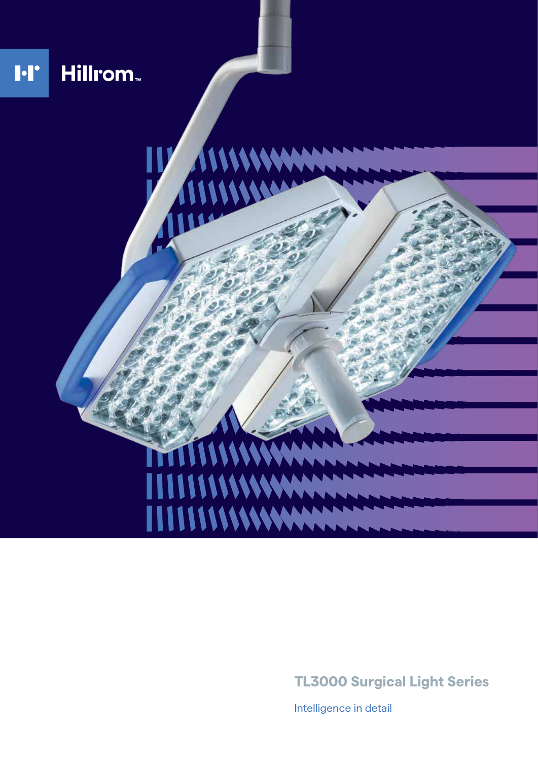

**TL3000 Surgical Light Series**

Intelligence in detail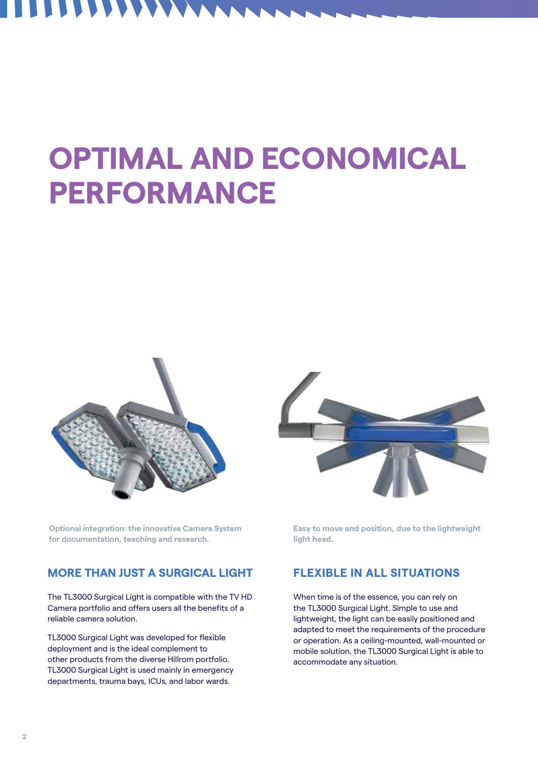### **ARP A**  $\blacksquare$

# **OPTIMAL AND ECONOMICAL PERFORMANCE**



**Optional integration: the innovative Camera System for documentation, teaching and research.**

### **MORE THAN JUST A SURGICAL LIGHT**

The TL3000 Surgical Light is compatible with the TV HD Camera portfolio and offers users all the benefits of a reliable camera solution.

TL3000 Surgical Light was developed for flexible deployment and is the ideal complement to other products from the diverse Hillrom portfolio. TL3000 Surgical Light is used mainly in emergency departments, trauma bays, ICUs, and labor wards.



**Easy to move and position, due to the lightweight light head.**

### **FLEXIBLE IN ALL SITUATIONS**

When time is of the essence, you can rely on the TL3000 Surgical Light. Simple to use and lightweight, the light can be easily positioned and adapted to meet the requirements of the procedure or operation. As a ceiling-mounted, wall-mounted or mobile solution, the TL3000 Surgical Light is able to accommodate any situation.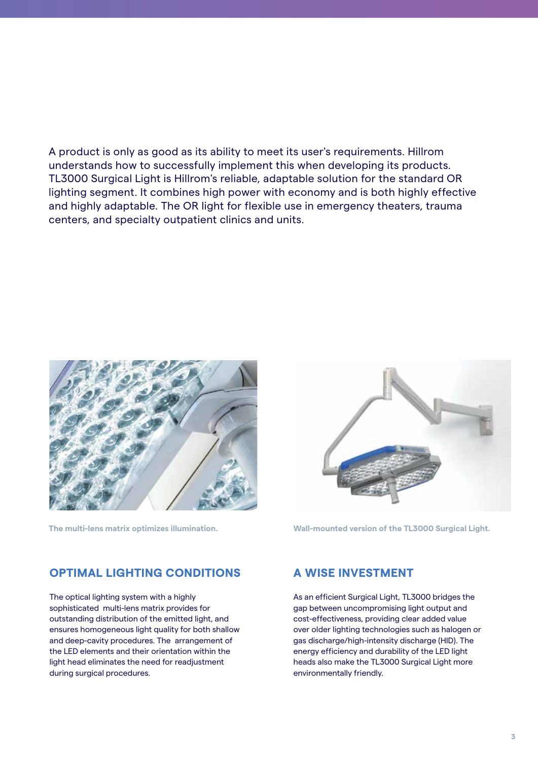### A product is only as good as its ability to meet its user's requirements. Hillrom understands how to successfully implement this when developing its products. TL3000 Surgical Light is Hillrom's reliable, adaptable solution for the standard OR lighting segment. It combines high power with economy and is both highly effective and highly adaptable. The OR light for flexible use in emergency theaters, trauma centers, and specialty outpatient clinics and units.





**The multi-lens matrix optimizes illumination. Wall-mounted version of the TL3000 Surgical Light.**

### **OPTIMAL LIGHTING CONDITIONS**

The optical lighting system with a highly sophisticated multi-lens matrix provides for outstanding distribution of the emitted light, and ensures homogeneous light quality for both shallow and deep-cavity procedures. The arrangement of the LED elements and their orientation within the light head eliminates the need for readjustment during surgical procedures.

### **A WISE INVESTMENT**

As an efficient Surgical Light, TL3000 bridges the gap between uncompromising light output and cost-effectiveness, providing clear added value over older lighting technologies such as halogen or gas discharge/high-intensity discharge (HID). The energy efficiency and durability of the LED light heads also make the TL3000 Surgical Light more environmentally friendly.